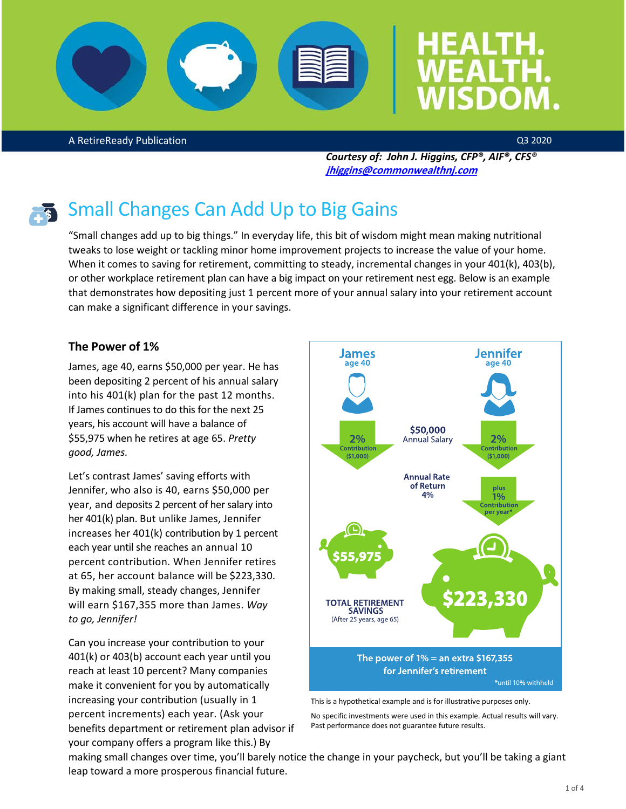

A RetireReady Publication

Q3 2020

*Courtesy of: John J. Higgins, CFP®, AIF®, CFS®* **[jhiggins@commonwealthnj.com](mailto:jhiggins@commonwealthnj.com)**



## Small Changes Can Add Up to Big Gains

"Small changes add up to big things." In everyday life, this bit of wisdom might mean making nutritional tweaks to lose weight or tackling minor home improvement projects to increase the value of your home. When it comes to saving for retirement, committing to steady, incremental changes in your 401(k), 403(b), or other workplace retirement plan can have a big impact on your retirement nest egg. Below is an example that demonstrates how depositing just 1 percent more of your annual salary into your retirement account can make a significant difference in your savings.

#### **The Power of 1%**

James, age 40, earns \$50,000 per year. He has been depositing 2 percent of his annual salary into his 401(k) plan for the past 12 months. If James continues to do this for the next 25 years, his account will have a balance of \$55,975 when he retires at age 65. *Pretty good, James.* 

Let's contrast James' saving efforts with Jennifer, who also is 40, earns \$50,000 per year, and deposits 2 percent of her salary into her 401(k) plan. But unlike James, Jennifer increases her 401(k) contribution by 1 percent each year until she reaches an annual 10 percent contribution. When Jennifer retires at 65, her account balance will be \$223,330. By making small, steady changes, Jennifer will earn \$167,355 more than James. *Way to go, Jennifer!*

Can you increase your contribution to your 401(k) or 403(b) account each year until you reach at least 10 percent? Many companies make it convenient for you by automatically increasing your contribution (usually in 1 percent increments) each year. (Ask your benefits department or retirement plan advisor if your company offers a program like this.) By



This is a hypothetical example and is for illustrative purposes only.

No specific investments were used in this example. Actual results will vary. Past performance does not guarantee future results.

making small changes over time, you'll barely notice the change in your paycheck, but you'll be taking a giant leap toward a more prosperous financial future.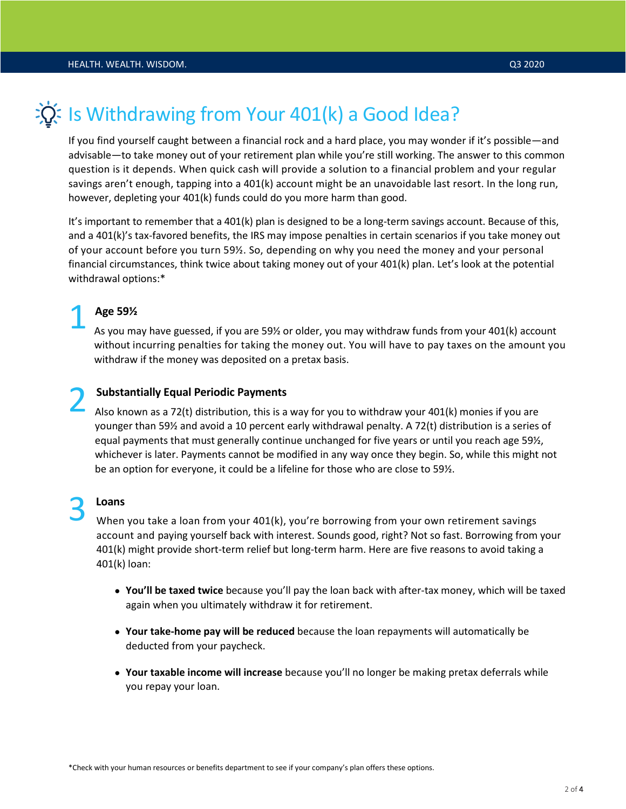

## Is Withdrawing from Your 401(k) a Good Idea?

If you find yourself caught between a financial rock and a hard place, you may wonder if it's possible—and advisable—to take money out of your retirement plan while you're still working. The answer to this common question is it depends. When quick cash will provide a solution to a financial problem and your regular savings aren't enough, tapping into a 401(k) account might be an unavoidable last resort. In the long run, however, depleting your 401(k) funds could do you more harm than good.

It's important to remember that a 401(k) plan is designed to be a long-term savings account. Because of this, and a 401(k)'s tax-favored benefits, the IRS may impose penalties in certain scenarios if you take money out of your account before you turn 59½. So, depending on why you need the money and your personal financial circumstances, think twice about taking money out of your 401(k) plan. Let's look at the potential withdrawal options:\*

#### **Age 59½** 1

As you may have guessed, if you are 59½ or older, you may withdraw funds from your 401(k) account without incurring penalties for taking the money out. You will have to pay taxes on the amount you withdraw if the money was deposited on a pretax basis.

### **Substantially Equal Periodic Payments** 2

Also known as a 72(t) distribution, this is a way for you to withdraw your 401(k) monies if you are younger than 59½ and avoid a 10 percent early withdrawal penalty. A 72(t) distribution is a series of equal payments that must generally continue unchanged for five years or until you reach age 59½, whichever is later. Payments cannot be modified in any way once they begin. So, while this might not be an option for everyone, it could be a lifeline for those who are close to 59½.

# 3

#### **Loans**

When you take a loan from your 401(k), you're borrowing from your own retirement savings account and paying yourself back with interest. Sounds good, right? Not so fast. Borrowing from your 401(k) might provide short-term relief but long-term harm. Here are five reasons to avoid taking a 401(k) loan:

- **You'll be taxed twice** because you'll pay the loan back with after-tax money, which will be taxed again when you ultimately withdraw it for retirement.
- **Your take-home pay will be reduced** because the loan repayments will automatically be deducted from your paycheck.
- **Your taxable income will increase** because you'll no longer be making pretax deferrals while you repay your loan.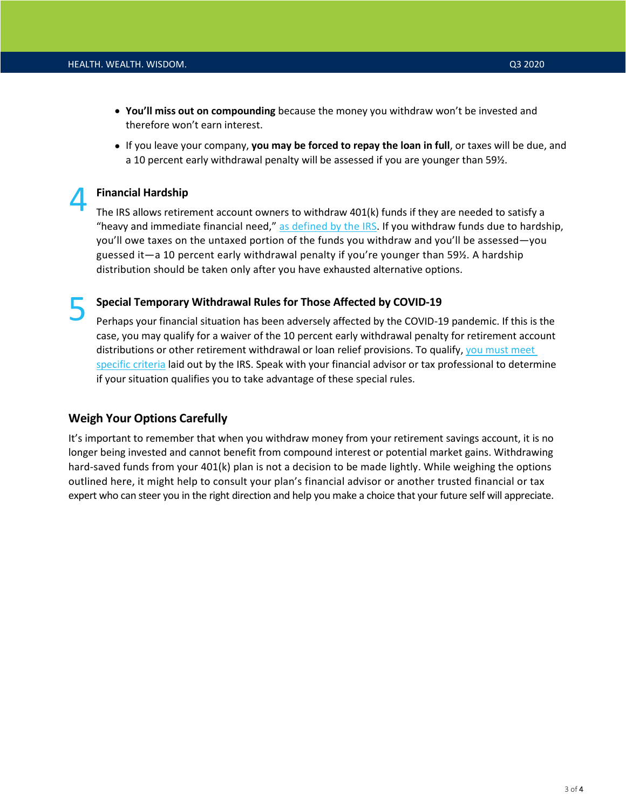- **You'll miss out on compounding** because the money you withdraw won't be invested and therefore won't earn interest.
- If you leave your company, **you may be forced to repay the loan in full**, or taxes will be due, and a 10 percent early withdrawal penalty will be assessed if you are younger than 59½.

#### **Financial Hardship**

4

The IRS allows retirement account owners to withdraw 401(k) funds if they are needed to satisfy a "heavy and immediate financial need," [as defined by the IRS.](https://www.irs.gov/retirement-plans/plan-participant-employee/retirement-topics-hardship-distributions) If you withdraw funds due to hardship, you'll owe taxes on the untaxed portion of the funds you withdraw and you'll be assessed—you guessed it—a 10 percent early withdrawal penalty if you're younger than 59½. A hardship distribution should be taken only after you have exhausted alternative options.

#### **Special Temporary Withdrawal Rules for Those Affected by COVID-19** 5

Perhaps your financial situation has been adversely affected by the COVID-19 pandemic. If this is the case, you may qualify for a waiver of the 10 percent early withdrawal penalty for retirement account distributions or other retirement withdrawal or loan relief provisions. To qualify, [you must meet](https://www.irs.gov/newsroom/coronavirus-related-relief-for-retirement-plans-and-iras-questions-and-answers) [specific criteria](https://www.irs.gov/newsroom/coronavirus-related-relief-for-retirement-plans-and-iras-questions-and-answers) laid out by the IRS. Speak with your financial advisor or tax professional to determine if your situation qualifies you to take advantage of these special rules.

#### **Weigh Your Options Carefully**

It's important to remember that when you withdraw money from your retirement savings account, it is no longer being invested and cannot benefit from compound interest or potential market gains. Withdrawing hard-saved funds from your 401(k) plan is not a decision to be made lightly. While weighing the options outlined here, it might help to consult your plan's financial advisor or another trusted financial or tax expert who can steer you in the right direction and help you make a choice that your future self will appreciate.